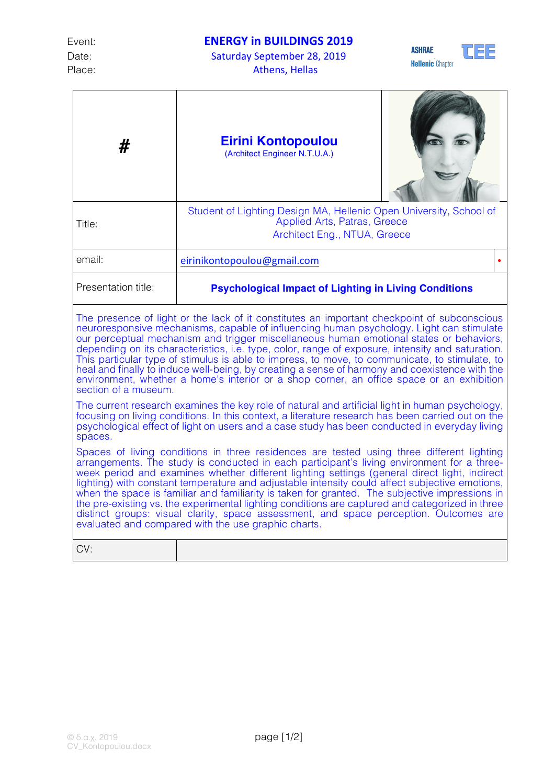## Event: **ENERGY in BUILDINGS 2019**

Date: Saturday September 28, 2019 Place: Athens, Hellas





| #                                                                                                                                                                                                                                                                                                                                                                                                                                                                                                                                                                                                                                                                                                                                              | <b>Eirini Kontopoulou</b><br>(Architect Engineer N.T.U.A.)                                                                         |  |
|------------------------------------------------------------------------------------------------------------------------------------------------------------------------------------------------------------------------------------------------------------------------------------------------------------------------------------------------------------------------------------------------------------------------------------------------------------------------------------------------------------------------------------------------------------------------------------------------------------------------------------------------------------------------------------------------------------------------------------------------|------------------------------------------------------------------------------------------------------------------------------------|--|
| Title:                                                                                                                                                                                                                                                                                                                                                                                                                                                                                                                                                                                                                                                                                                                                         | Student of Lighting Design MA, Hellenic Open University, School of<br>Applied Arts, Patras, Greece<br>Architect Eng., NTUA, Greece |  |
| email:                                                                                                                                                                                                                                                                                                                                                                                                                                                                                                                                                                                                                                                                                                                                         | eirinikontopoulou@gmail.com                                                                                                        |  |
| Presentation title:                                                                                                                                                                                                                                                                                                                                                                                                                                                                                                                                                                                                                                                                                                                            | <b>Psychological Impact of Lighting in Living Conditions</b>                                                                       |  |
| The presence of light or the lack of it constitutes an important checkpoint of subconscious<br>neuroresponsive mechanisms, capable of influencing human psychology. Light can stimulate<br>our perceptual mechanism and trigger miscellaneous human emotional states or behaviors,<br>depending on its characteristics, i.e. type, color, range of exposure, intensity and saturation.<br>This particular type of stimulus is able to impress, to move, to communicate, to stimulate, to<br>heal and finally to induce well-being, by creating a sense of harmony and coexistence with the<br>environment, whether a home's interior or a shop corner, an office space or an exhibition<br>section of a museum.                                |                                                                                                                                    |  |
| The current research examines the key role of natural and artificial light in human psychology,<br>focusing on living conditions. In this context, a literature research has been carried out on the<br>psychological effect of light on users and a case study has been conducted in everyday living<br>spaces.                                                                                                                                                                                                                                                                                                                                                                                                                               |                                                                                                                                    |  |
| Spaces of living conditions in three residences are tested using three different lighting<br>arrangements. The study is conducted in each participant's living environment for a three-<br>week period and examines whether different lighting settings (general direct light, indirect<br>lighting) with constant temperature and adjustable intensity could affect subjective emotions,<br>when the space is familiar and familiarity is taken for granted. The subjective impressions in<br>the pre-existing vs. the experimental lighting conditions are captured and categorized in three<br>distinct groups: visual clarity, space assessment, and space perception. Outcomes are<br>evaluated and compared with the use graphic charts. |                                                                                                                                    |  |
| CV:                                                                                                                                                                                                                                                                                                                                                                                                                                                                                                                                                                                                                                                                                                                                            |                                                                                                                                    |  |